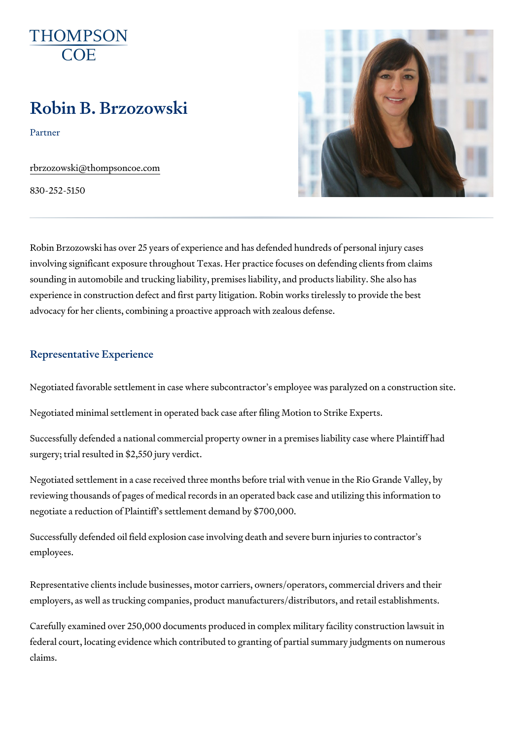# Robin B. Brzozowski

Partner

[rbrzozowski@thomps](mailto:rbrzozowski@thompsoncoe.com  )oncoe.com

830-252-5150

Robin Brzozowski has over 25 years of experience and has defended hundred involving significant exposure throughout Texas. Her practice focuses on c sounding in automobile and trucking liability, premises liability, and produ experience in construction defect and first party litigation. Robin works tir advocacy for her clients, combining a proactive approach with zealous defe

#### Representative Experience

Negotiated favorable settlement in case where subcontractor s employee w

Negotiated minimal settlement in operated back case after filing Motion to

Successfully defended a national commercial property owner in a premises surgery; trial resulted in \$2,550 jury verdict.

Negotiated settlement in a case received three months before trial with ve reviewing thousands of pages of medical records in an operated back case negotiate a reduction of Plaintiff s settlement demand by \$700,000.

Successfully defended oil field explosion case involving death and severe employees.

Representative clients include businesses, motor carriers, owners/operato employers, as well as trucking companies, product manufacturers/distribut

Carefully examined over 250,000 documents produced in complex military f federal court, locating evidence which contributed to granting of partial summary claims.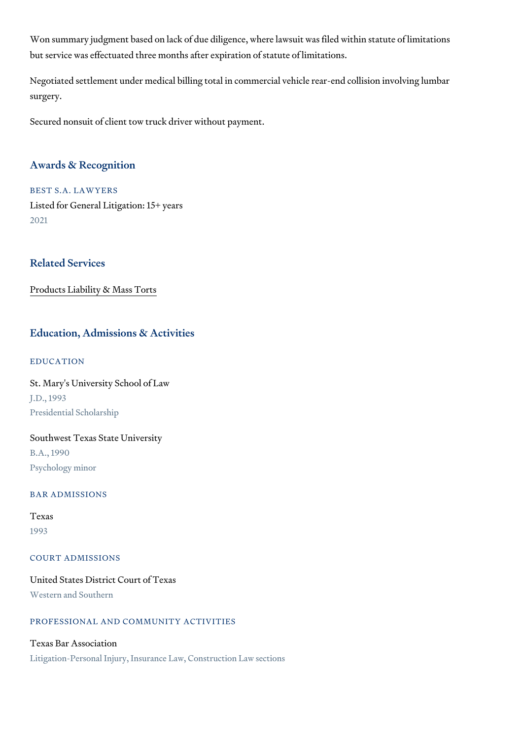Won summary judgment based on lack of due diligence, where lawsuit was but service was effectuated three months after expiration of statute of lim

Negotiated settlement under medical billing total in commercial vehicle rearsurgery.

Secured nonsuit of client tow truck driver without payment.

### Awards & Recognition

BEST S.A. LAWYERS Listed for General Litigation: 15+ years 2021

## Related Services

[Products Liability &](https://www.thompsoncoe.com/people/robin-b-brzozowski/) Mass Torts

## Education, Admissions & Activities

## EDUCATION

St. Mary's University School of Law J.D., 1993 Presidential Scholarship

#### Southwest Texas State University

B.A., 1990 Psychology minor

## BAR ADMISSIONS

## Texas

1993

#### COURT ADMISSIONS

United States District Court of Texas Western and Southern

## PROFESSIONAL AND COMMUNITY ACTIVITIES

## Texas Bar Association

Litigation-Personal Injury, Insurance Law, Construction Law sections